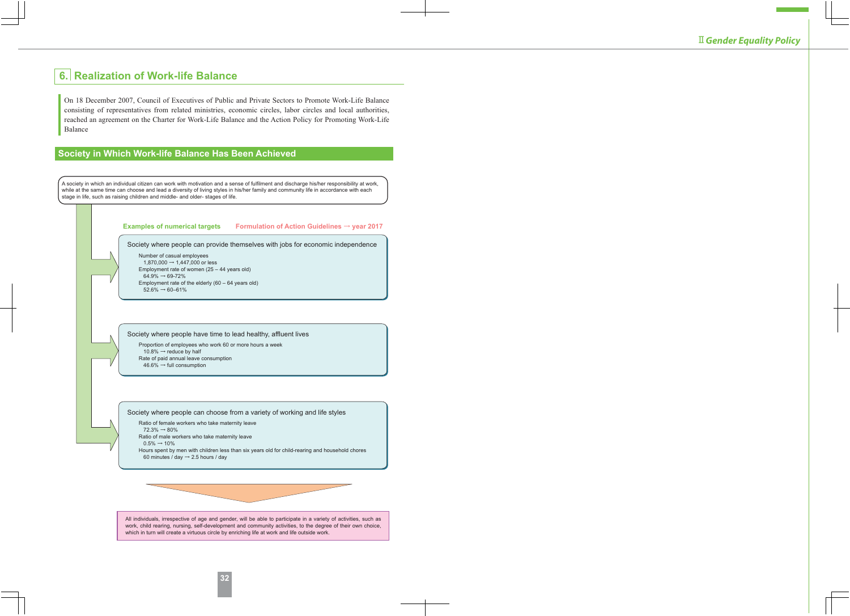# **6. Realization of Work-life Balance**

On 18 December 2007, Council of Executives of Public and Private Sectors to Promote Work-Life Balance consisting of representatives from related ministries, economic circles, labor circles and local authorities, reached an agreement on the Charter for Work-Life Balance and the Action Policy for Promoting Work-Life Balance

## **Society in Which Work-life Balance Has Been Achieved**

A society in which an individual citizen can work with motivation and a sense of fulfilment and discharge his/her responsibility at work, while at the same time can choose and lead a diversity of living styles in his/her family and community life in accordance with each stage in life, such as raising children and middle- and older- stages of life.

| Examples of numerical targets Formulation of Action Guidelines $\rightarrow$ year 2017                                                                                                                                                                                                                                                                                                        |
|-----------------------------------------------------------------------------------------------------------------------------------------------------------------------------------------------------------------------------------------------------------------------------------------------------------------------------------------------------------------------------------------------|
| Society where people can provide themselves with jobs for economic independence<br>Number of casual employees<br>1,870,000 → 1,447,000 or less<br>Employment rate of women $(25 - 44$ years old)<br>$64.9\% \rightarrow 69-72\%$<br>Employment rate of the elderly $(60 - 64$ years old)<br>$52.6\% \rightarrow 60 - 61\%$                                                                    |
| Society where people have time to lead healthy, affluent lives<br>Proportion of employees who work 60 or more hours a week<br>10.8% $\rightarrow$ reduce by half<br>Rate of paid annual leave consumption<br>$46.6\% \rightarrow$ full consumption                                                                                                                                            |
| Society where people can choose from a variety of working and life styles<br>Ratio of female workers who take maternity leave<br>$72.3\% \rightarrow 80\%$<br>Ratio of male workers who take maternity leave<br>$0.5\% \rightarrow 10\%$<br>Hours spent by men with children less than six years old for child-rearing and household chores<br>60 minutes / day $\rightarrow$ 2.5 hours / day |
| All individuals, irrespective of age and gender, will be able to participate in a variety of activities, such as<br>work, child rearing, nursing, self-development and community activities, to the degree of their own choice,<br>which in turn will create a virtuous circle by enriching life at work and life outside work.                                                               |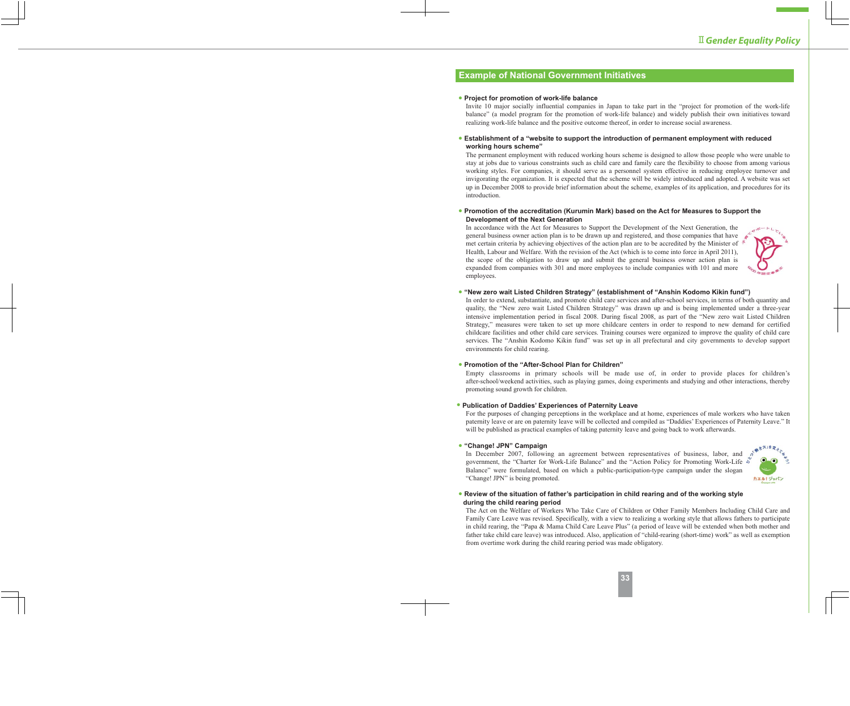### **Example of National Government Initiatives**

#### **● Project for promotion of work-life balance**

Invite 10 major socially influential companies in Japan to take part in the "project for promotion of the work-life balance" (a model program for the promotion of work-life balance) and widely publish their own initiatives toward realizing work-life balance and the positive outcome thereof, in order to increase social awareness.

#### **● Establishment of a "website to support the introduction of permanent employment with reduced working hours scheme"**

The permanent employment with reduced working hours scheme is designed to allow those people who were unable to stay at jobs due to various constraints such as child care and family care the flexibility to choose from among various working styles. For companies, it should serve as a personnel system effective in reducing employee turnover and invigorating the organization. It is expected that the scheme will be widely introduced and adopted. A website was set up in December 2008 to provide brief information about the scheme, examples of its application, and procedures for its introduction.

#### **● Promotion of the accreditation (Kurumin Mark) based on the Act for Measures to Support the Development of the Next Generation**

In accordance with the Act for Measures to Support the Development of the Next Generation, the general business owner action plan is to be drawn up and registered, and those companies that have met certain criteria by achieving objectives of the action plan are to be accredited by the Minister of  $\sqrt[k]{ }$ Health, Labour and Welfare. With the revision of the Act (which is to come into force in April 2011), the scope of the obligation to draw up and submit the general business owner action plan is expanded from companies with 301 and more employees to include companies with 101 and more employees.

#### **● "New zero wait Listed Children Strategy" (establishment of "Anshin Kodomo Kikin fund")**

In order to extend, substantiate, and promote child care services and after-school services, in terms of both quantity and quality, the "New zero wait Listed Children Strategy" was drawn up and is being implemented under a three-year intensive implementation period in fiscal 2008. During fiscal 2008, as part of the "New zero wait Listed Children Strategy," measures were taken to set up more childcare centers in order to respond to new demand for certified childcare facilities and other child care services. Training courses were organized to improve the quality of child care services. The "Anshin Kodomo Kikin fund" was set up in all prefectural and city governments to develop support environments for child rearing.

#### **● Promotion of the "After-School Plan for Children"**

Empty classrooms in primary schools will be made use of, in order to provide places for children's after-school/weekend activities, such as playing games, doing experiments and studying and other interactions, thereby promoting sound growth for children.

#### **● Publication of Daddies' Experiences of Paternity Leave**

For the purposes of changing perceptions in the workplace and at home, experiences of male workers who have taken paternity leave or are on paternity leave will be collected and compiled as "Daddies' Experiences of Paternity Leave." It will be published as practical examples of taking paternity leave and going back to work afterwards.

#### **● "Change! JPN" Campaign**

In December 2007, following an agreement between representatives of business, labor, and government, the "Charter for Work-Life Balance" and the "Action Policy for Promoting Work-Life Balance" were formulated, based on which a public-participation-type campaign under the slogan "Change! JPN" is being promoted.



#### **● Review of the situation of father's participation in child rearing and of the working style during the child rearing period**

The Act on the Welfare of Workers Who Take Care of Children or Other Family Members Including Child Care and Family Care Leave was revised. Specifically, with a view to realizing a working style that allows fathers to participate in child rearing, the "Papa & Mama Child Care Leave Plus" (a period of leave will be extended when both mother and father take child care leave) was introduced. Also, application of "child-rearing (short-time) work" as well as exemption from overtime work during the child rearing period was made obligatory.